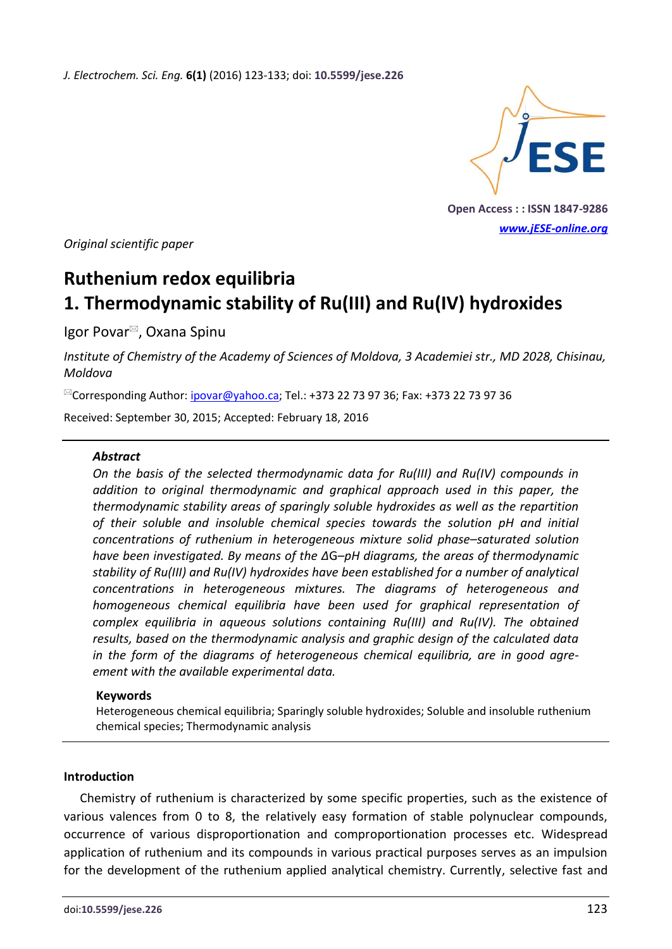*J. Electrochem. Sci. Eng.* **6(1)** (2016) 123-133; doi: **10.5599/jese.226**



**Open Access : : ISSN 1847-9286** *[www.jESE-online.org](http://www.jese-online.org/)*

*Original scientific paper*

# **Ruthenium redox equilibria 1. Thermodynamic stability of Ru(III) and Ru(IV) hydroxides**

Igor Povar<sup>⊠</sup>, Oxana Spinu

*Institute of Chemistry of the Academy of Sciences of Moldova, 3 Academiei str., MD 2028, Chisinau, Moldova*

 $^{\boxtimes}$ Corresponding Author: <u>ipovar@yahoo.ca</u>; Tel.: +373 22 73 97 36; Fax: +373 22 73 97 36

Received: September 30, 2015; Accepted: February 18, 2016

#### *Abstract*

*On the basis of the selected thermodynamic data for Ru(III) and Ru(IV) compounds in addition to original thermodynamic and graphical approach used in this paper, the thermodynamic stability areas of sparingly soluble hydroxides as well as the repartition of their soluble and insoluble chemical species towards the solution pH and initial concentrations of ruthenium in heterogeneous mixture solid phase–saturated solution have been investigated. By means of the Δ*G*–pH diagrams, the areas of thermodynamic stability of Ru(III) and Ru(IV) hydroxides have been established for a number of analytical concentrations in heterogeneous mixtures. The diagrams of heterogeneous and homogeneous chemical equilibria have been used for graphical representation of complex equilibria in aqueous solutions containing Ru(III) and Ru(IV). The obtained results, based on the thermodynamic analysis and graphic design of the calculated data in the form of the diagrams of heterogeneous chemical equilibria, are in good agreement with the available experimental data.*

#### **Keywords**

Heterogeneous chemical equilibria; Sparingly soluble hydroxides; Soluble and insoluble ruthenium chemical species; Thermodynamic analysis

# **Introduction**

Chemistry of ruthenium is characterized by some specific properties, such as the existence of various valences from 0 to 8, the relatively easy formation of stable polynuclear compounds, occurrence of various disproportionation and comproportionation processes etc. Widespread application of ruthenium and its compounds in various practical purposes serves as an impulsion for the development of the ruthenium applied analytical chemistry. Currently, selective fast and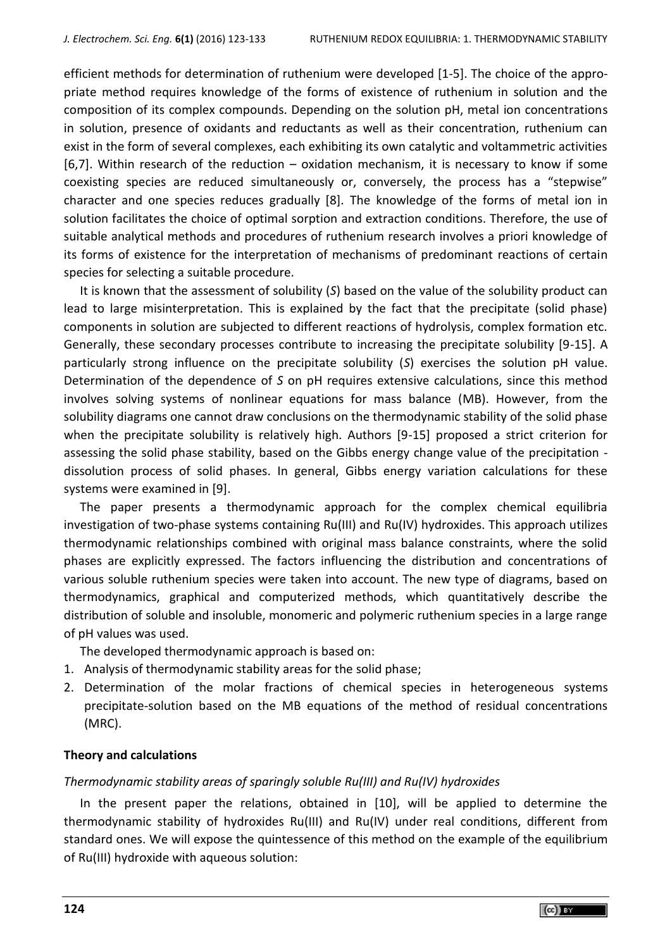efficient methods for determination of ruthenium were developed [1-5]. The choice of the appropriate method requires knowledge of the forms of existence of ruthenium in solution and the composition of its complex compounds. Depending on the solution pH, metal ion concentrations in solution, presence of oxidants and reductants as well as their concentration, ruthenium can exist in the form of several complexes, each exhibiting its own catalytic and voltammetric activities [6,7]. Within research of the reduction – oxidation mechanism, it is necessary to know if some coexisting species are reduced simultaneously or, conversely, the process has a "stepwise" character and one species reduces gradually [8]. The knowledge of the forms of metal ion in solution facilitates the choice of optimal sorption and extraction conditions. Therefore, the use of suitable analytical methods and procedures of ruthenium research involves a priori knowledge of its forms of existence for the interpretation of mechanisms of predominant reactions of certain species for selecting a suitable procedure.

It is known that the assessment of solubility (*S*) based on the value of the solubility product can lead to large misinterpretation. This is explained by the fact that the precipitate (solid phase) components in solution are subjected to different reactions of hydrolysis, complex formation etc. Generally, these secondary processes contribute to increasing the precipitate solubility [9-15]. A particularly strong influence on the precipitate solubility (*S*) exercises the solution pH value. Determination of the dependence of *S* on pH requires extensive calculations, since this method involves solving systems of nonlinear equations for mass balance (MB). However, from the solubility diagrams one cannot draw conclusions on the thermodynamic stability of the solid phase when the precipitate solubility is relatively high. Authors [9-15] proposed a strict criterion for assessing the solid phase stability, based on the Gibbs energy change value of the precipitation dissolution process of solid phases. In general, Gibbs energy variation calculations for these systems were examined in [9].

The paper presents a thermodynamic approach for the complex chemical equilibria investigation of two-phase systems containing Ru(III) and Ru(IV) hydroxides. This approach utilizes thermodynamic relationships combined with original mass balance constraints, where the solid phases are explicitly expressed. The factors influencing the distribution and concentrations of various soluble ruthenium species were taken into account. The new type of diagrams, based on thermodynamics, graphical and computerized methods, which quantitatively describe the distribution of soluble and insoluble, monomeric and polymeric ruthenium species in a large range of pH values was used.

The developed thermodynamic approach is based on:

- 1. Analysis of thermodynamic stability areas for the solid phase;
- 2. Determination of the molar fractions of chemical species in heterogeneous systems precipitate-solution based on the MB equations of the method of residual concentrations (MRC).

#### **Theory and calculations**

#### *Thermodynamic stability areas of sparingly soluble Ru(III) and Ru(IV) hydroxides*

In the present paper the relations, obtained in [10], will be applied to determine the thermodynamic stability of hydroxides Ru(III) and Ru(IV) under real conditions, different from standard ones. We will expose the quintessence of this method on the example of the equilibrium of Ru(III) hydroxide with aqueous solution: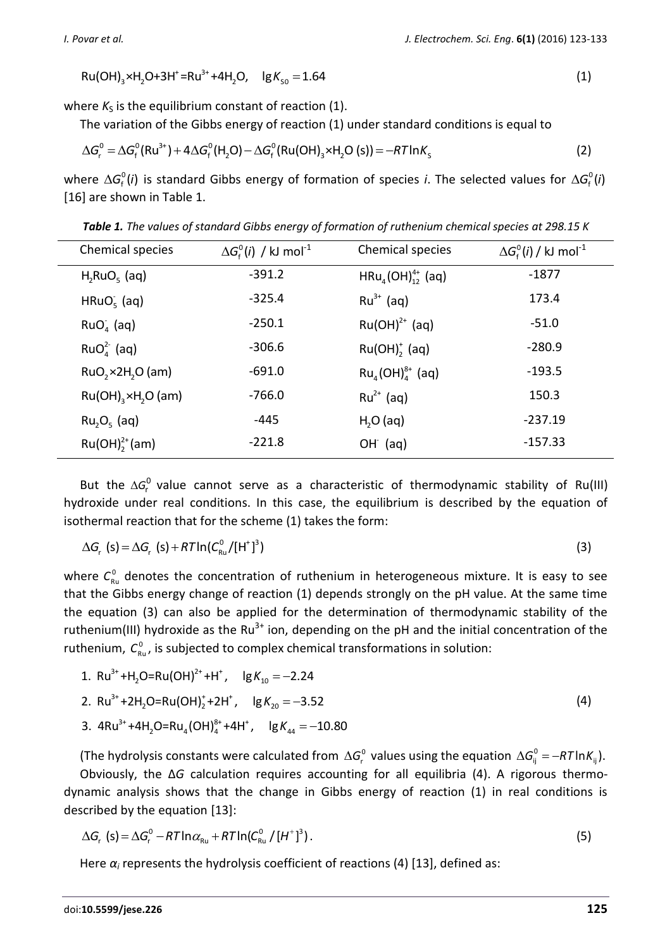$$
Ru(OH)3 \times H2O + 3H+ = Ru3+ + 4H2O, lg Ks0 = 1.64
$$
 (1)

where  $K_S$  is the equilibrium constant of reaction (1).

ere 
$$
\kappa_S
$$
 is the equilibrium constant or reaction (1). The variation of the Gibbs energy of reaction (1) under standard conditions is equal to  $\Delta G_r^0 = \Delta G_f^0(Ru^{3+}) + 4\Delta G_f^0(H_2O) - \Delta G_f^0(Ru(OH)_3 \times H_2O(S)) = -RT \ln K_S$  (2)

where  $\Delta G_{\rm f}^{\rm o}(i)$  is standard Gibbs energy of formation of species *i*. The selected values for  $\Delta G_{\rm f}^{\rm o}(i)$ [16] are shown in Table 1.

*Table 1. The values of standard Gibbs energy of formation of ruthenium chemical species at 298.15 K*

| Chemical species                | $\Delta G_{\rm f}^{\rm o}(i)$ / kJ mol <sup>-1</sup> | Chemical species           | $\Delta G_{\rm f}^{\rm o}(i)$ / kJ mol <sup>-1</sup> |
|---------------------------------|------------------------------------------------------|----------------------------|------------------------------------------------------|
| $H2RuO5$ (aq)                   | $-391.2$                                             | $HRu_a(OH)_{12}^{4+}$ (aq) | $-1877$                                              |
| $HRuO5$ (aq)                    | $-325.4$                                             | $Ru^{3+}$ (aq)             | 173.4                                                |
| $RuOa$ (aq)                     | $-250.1$                                             | $Ru(OH)^{2+}$ (aq)         | $-51.0$                                              |
| $RuOA2-$ (aq)                   | $-306.6$                                             | $Ru(OH)2$ (aq)             | $-280.9$                                             |
| RuO, x2H, O (am)                | $-691.0$                                             | $Ru_{4}(OH)^{8+}_{4}$ (aq) | $-193.5$                                             |
| $Ru(OH)_{3} \times H_{2}O$ (am) | $-766.0$                                             | $Ru^{2+}$ (aq)             | 150.3                                                |
| $Ru_2O_5$ (aq)                  | -445                                                 | $H2O$ (aq)                 | $-237.19$                                            |
| $Ru(OH)22+(am)$                 | $-221.8$                                             | $OH$ (aq)                  | $-157.33$                                            |

But the  $\Delta G_r^0$  value cannot serve as a characteristic of thermodynamic stability of Ru(III) hydroxide under real conditions. In this case, the equilibrium is described by the equation of isothermal reaction that for the scheme (1) takes the form:

$$
\Delta G_r \text{ (s)} = \Delta G_r \text{ (s)} + RT \ln(C_{\text{Ru}}^0 / [\text{H}^+]^3)
$$
 (3)

where  $C_{\text{\tiny Ru}}^0$  denotes the concentration of ruthenium in heterogeneous mixture. It is easy to see that the Gibbs energy change of reaction (1) depends strongly on the pH value. At the same time the equation (3) can also be applied for the determination of thermodynamic stability of the ruthenium(III) hydroxide as the  $Ru^{3+}$  ion, depending on the pH and the initial concentration of the ruthenium,  $C_{Ru}^0$ , is subjected to complex chemical transformations in solution:<br>1. Ru<sup>3+</sup>+H<sub>2</sub>O=Ru(OH)<sup>2+</sup>+H<sup>+</sup>, lg  $K_{10} = -2.24$ 

3+ 2+ + 2 10 *K*

3+ + + 2 2 20 2. Ru +2H O=Ru(OH) +2H , lg 3.52 *K* (4)

2. Ru<sup>3+</sup>+2H<sub>2</sub>O=Ru(OH)<sub>2</sub><sup>+</sup>+2H<sup>+</sup>, lg 
$$
K_{20} = -3.52
$$
  
3. 4Ru<sup>3+</sup>+4H<sub>2</sub>O=Ru<sub>4</sub>(OH)<sup>8+</sup><sub>4</sub>+4H<sup>+</sup>, lg  $K_{44} = -10.80$ 

(The hydrolysis constants were calculated from  $\Delta G_r^0$  values using the equation  $\Delta G_{ij}^0$  =  $-RT \ln K_{_{ij}}$ ). Obviously, the Δ*G* calculation requires accounting for all equilibria (4). A rigorous thermodynamic analysis shows that the change in Gibbs energy of reaction (1) in real conditions is described by the equation [13]:

scribed by the equation [13]:  
\n
$$
\Delta G_r \text{ (s)} = \Delta G_r^0 - RT \ln \alpha_{\text{Ru}} + RT \ln (C_{\text{Ru}}^0 / [H^+]^3).
$$
\n(5)

Here  $\alpha_i$  represents the hydrolysis coefficient of reactions (4) [13], defined as: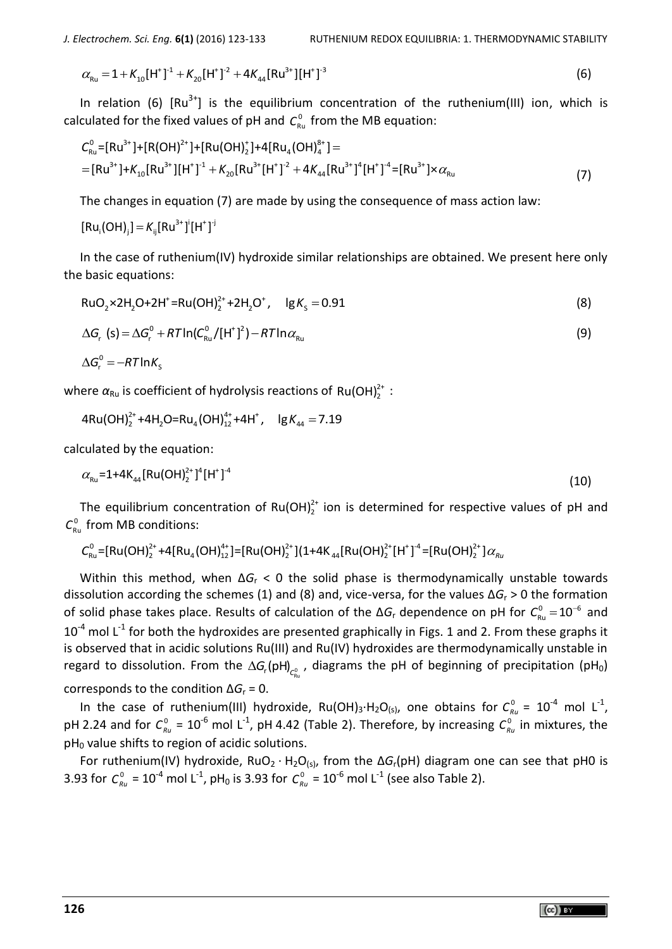$$
\alpha_{\text{Ru}} = 1 + K_{10} [\text{H}^+]^1 + K_{20} [\text{H}^+]^2 + 4K_{44} [\text{Ru}^{3+}] [\text{H}^+]^3
$$
 (6)

In relation (6)  $[Ru^{3+}]$  is the equilibrium concentration of the ruthenium(III) ion, which is

EXECUTE: The equation (b) [N<sub>U</sub> ] is the equilibrium concentration of the harmonic  
\ncalculated for the fixed values of pH and 
$$
C_{\rm Ru}^0
$$
 from the MB equation:

\n
$$
C_{\rm Ru}^0 = [Ru^{3+}] + [R(OH)^{2+}] + [Ru(OH)^{2+}] + 4[Ru_4(OH)^{8+}] =
$$
\n
$$
= [Ru^{3+}] + K_{10}[Ru^{3+}][H^+]^{1} + K_{20}[Ru^{3+}[H^+]^{2} + 4K_{44}[Ru^{3+}]^{4}[H^+]^{4} = [Ru^{3+}] \times \alpha_{\rm Ru}
$$
\n(7)

The changes in equation (7) are made by using the consequence of mass action law:

$$
[Ru_i(OH)_j] = K_{ij}[Ru^{3+}]^i[H^+]^j
$$

In the case of ruthenium(IV) hydroxide similar relationships are obtained. We present here only the basic equations:

+ 2+ + RuO ×2H O+2H =Ru(OH) +2H O , lg 0.91 2 2 2 2 S *<sup>K</sup>* (8)

$$
\Delta G_r (s) = \Delta G_r^0 + RT \ln(C_{Ru}^0/[H^+]^2) - RT \ln \alpha_{Ru}
$$
 (9)

 $\Delta G_r^0 = -RT \ln K_s$ 

where α<sub>Ru</sub> is coefficient of hydrolysis reactions of Ru(OH)<sup>2+</sup>:<br>4Ru(OH)<sup>2+</sup>+4H<sub>2</sub>O=Ru<sub>4</sub>(OH)<sup>4+</sup><sub>12</sub>+4H<sup>+</sup>, lg K<sub>44</sub> = 7.19

$$
4Ru(OH)22++4H2O=Ru4(OH)124++4H+, 1gK44 = 7.19
$$

calculated by the equation:

$$
\alpha_{\text{Ru}} = 1 + 4K_{44}[\text{Ru(OH)}_{2}^{2+}]^{4}[\text{H}^{+}]^{4}
$$
 (10)

The equilibrium concentration of  $Ru(OH)^{2+}_{2}$  ion is determined for respective values of pH and from MB conditions:<br>from MB conditions:<br> $C_{Ru}^{0} = [Ru(OH)^{2+}_{2} + 4[Ru_{4}(OH)^{4+}_{12}] = [Ru(OH)^{2+}_{2}] (1+4K_{44}[Ru(OH)^{2+}_{2}[H^{+}]^{4} = [Ru(OH)^{2+}_{$  $C_{\text{Ru}}^0$  from MB conditions:

from MB conditions:  
\n
$$
C_{Ru}^{0} = [Ru(OH)_{2}^{2+} + 4[Ru_{4}(OH)_{12}^{4+}] = [Ru(OH)_{2}^{2+}](1+4K_{44}[Ru(OH)_{2}^{2+}[H^{+}]^{-4} = [Ru(OH)_{2}^{2+}] \alpha_{R4}^{4+}]
$$

Within this method, when Δ*G*<sup>r</sup> < 0 the solid phase is thermodynamically unstable towards dissolution according the schemes (1) and (8) and, vice-versa, for the values Δ*G*<sup>r</sup> > 0 the formation of solid phase takes place. Results of calculation of the  $\Delta G_{\rm r}$  dependence on pH for  $C_{\rm Ru}^0$  = 10<sup>-6</sup> and  $10^{-4}$  mol L<sup>-1</sup> for both the hydroxides are presented graphically in Figs. 1 and 2. From these graphs it is observed that in acidic solutions Ru(III) and Ru(IV) hydroxides are thermodynamically unstable in regard to dissolution. From the  $\Delta G_{\!{}_r}$ (pH)<sub> $_{C^0_{\rm Ru}}$ </sub>, diagrams the pH of beginning of precipitation (pH<sub>0</sub>) corresponds to the condition  $\Delta G_r = 0$ .

In the case of ruthenium(III) hydroxide, Ru(OH)<sub>3</sub>⋅H<sub>2</sub>O<sub>(s)</sub>, one obtains for  $C_{Ru}^0 = 10^{-4}$  mol L<sup>-1</sup>, pH 2.24 and for  $C_{Ru}^0$  = 10<sup>-6</sup> mol L<sup>-1</sup>, pH 4.42 (Table 2). Therefore, by increasing  $C_{Ru}^0$  in mixtures, the  $pH<sub>0</sub>$  value shifts to region of acidic solutions.

For ruthenium(IV) hydroxide, RuO<sub>2</sub> ⋅ H<sub>2</sub>O<sub>(s)</sub>, from the ΔG<sub>r</sub>(pH) diagram one can see that pH0 is 3.93 for  $C_{Ru}^0 = 10^{-4}$  mol L<sup>-1</sup>, pH<sub>0</sub> is 3.93 for  $C_{Ru}^0 = 10^{-6}$  mol L<sup>-1</sup> (see also Table 2).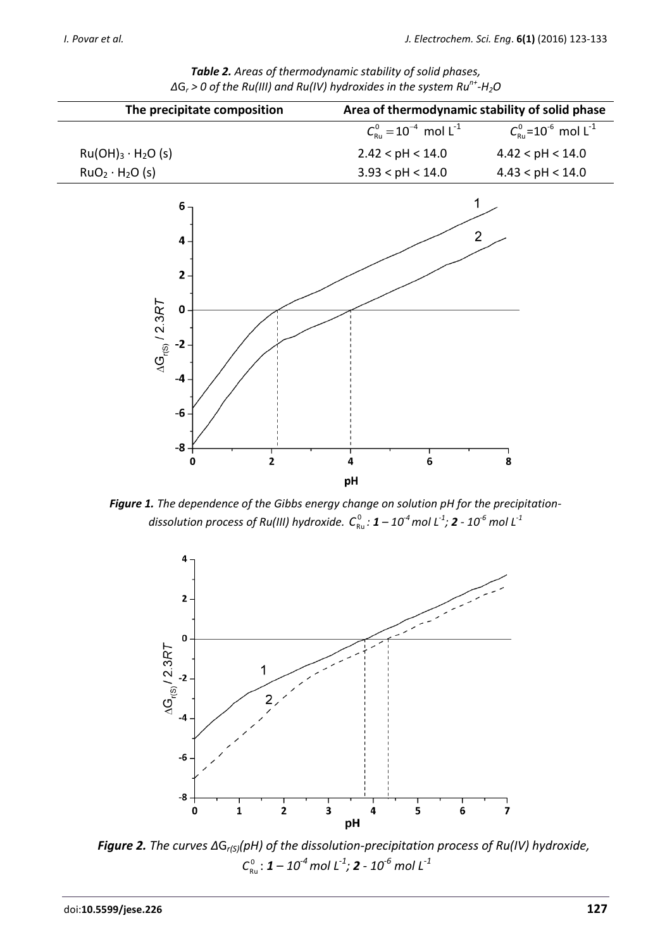| The precipitate composition             |                                                                     | Area of thermodynamic stability of solid phase  |                                                         |  |
|-----------------------------------------|---------------------------------------------------------------------|-------------------------------------------------|---------------------------------------------------------|--|
|                                         |                                                                     | $C_{\text{Ru}}^0 = 10^{-4}$ mol L <sup>-1</sup> | $C_{\text{Ru}}^0$ =10 <sup>-6</sup> mol L <sup>-1</sup> |  |
| $Ru(OH)3 · H2O(s)$                      |                                                                     | 2.42 < pH < 14.0                                | 4.42 < pH < 14.0                                        |  |
| RuO <sub>2</sub> · H <sub>2</sub> O (s) |                                                                     | 3.93 < pH < 14.0                                | 4.43 < pH < 14.0                                        |  |
| $\Delta G_{r(S)}$ / 2.3RT               | 6<br>4<br>$2 -$<br>$\pmb{0}$<br>$-2$<br>-4<br>$-6-$<br>-8<br>2<br>0 | 6<br>4<br>pH                                    | $\overline{2}$<br>8                                     |  |
|                                         |                                                                     |                                                 |                                                         |  |

*Table 2. Areas of thermodynamic stability of solid phases, Δ*G*<sup>r</sup> > 0 of the Ru(III) and Ru(IV) hydroxides in the system Run+ -H2O*

*Figure 1. The dependence of the Gibbs energy change on solution pH for the precipitation-* ${\mathcal C}_{\sf RL}^0$  *:*   ${\mathcal I}$   ${\mathcal I}$   ${\mathcal I}$   ${\mathcal I}$   ${\mathcal I}$   ${\mathcal I}$   ${\mathcal I}$   ${\mathcal I}$   ${\mathcal I}$   ${\mathcal I}$   ${\mathcal I}$   ${\mathcal I}$   ${\mathcal I}$   ${\mathcal I}$   ${\mathcal I}$   ${\mathcal I}$   ${\mathcal I}$   ${\mathcal I}$   ${\mathcal I}$   ${\mathcal I}$   ${\mathcal I}$   ${\mathcal I}$   ${\mathcal I}$   ${\mathcal I}$   ${\mathcal I}$   ${\$ 



*Figure 2. The curves Δ*G*r(S)(pH) of the dissolution-precipitation process of Ru(IV) hydroxide,* 0 *C*Ru : *1 – 10-4 mol L-1 ; 2 - 10-6 mol L-1*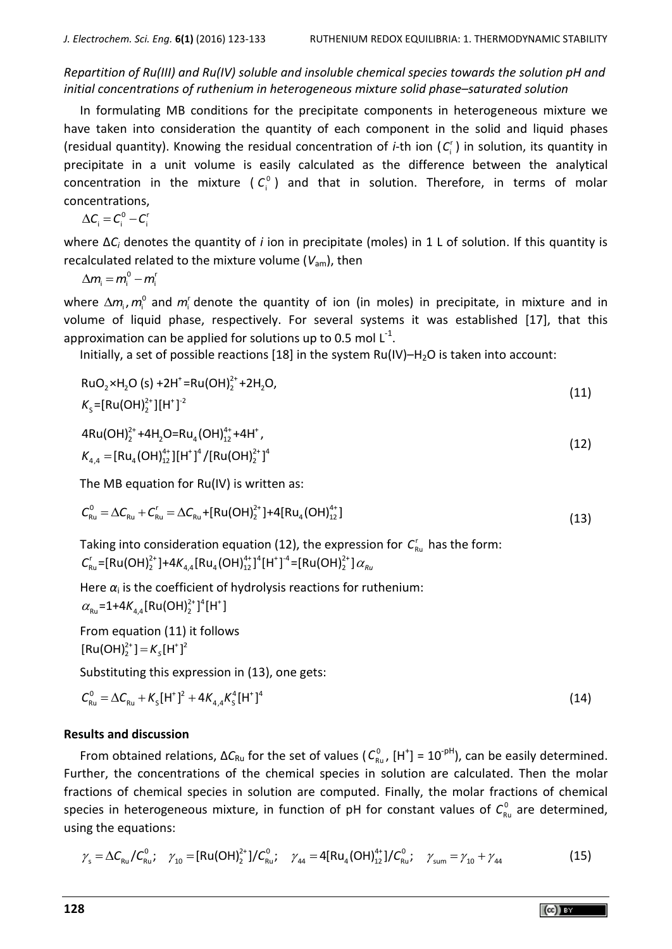*Repartition of Ru(III) and Ru(IV) soluble and insoluble chemical species towards the solution pH and initial concentrations of ruthenium in heterogeneous mixture solid phase–saturated solution*

In formulating MB conditions for the precipitate components in heterogeneous mixture we have taken into consideration the quantity of each component in the solid and liquid phases (residual quantity). Knowing the residual concentration of *i*-th ion (C<sub>i</sub>) in solution, its quantity in precipitate in a unit volume is easily calculated as the difference between the analytical concentration in the mixture  $(C_i^0)$  and that in solution. Therefore, in terms of molar concentrations,

 $\Delta C_i = C_i^0 - C_i^r$ 

where Δ*C<sup>i</sup>* denotes the quantity of *i* ion in precipitate (moles) in 1 L of solution. If this quantity is recalculated related to the mixture volume (*V*am), then

 $\Delta m_i = m_i^0 - m_i^r$ 

where  $\Delta m_{\text{i}}$ ,  $m_{\text{i}}^{\text{o}}$  and  $m_{\text{i}}^{\text{r}}$  denote the quantity of ion (in moles) in precipitate, in mixture and in volume of liquid phase, respectively. For several systems it was established [17], that this approximation can be applied for solutions up to 0.5 mol  $\mathsf{L}^{\text{-}1}$ .

Initially, a set of possible reactions [18] in the system  $Ru(IV)$ –H<sub>2</sub>O is taken into account:

$$
RuO2 \times H2O (s) + 2H+ = Ru(OH)22+ + 2H2O,
$$
  
\n
$$
Ks = [Ru(OH)22+][H+]2
$$
\n(11)

$$
4Ru(OH)22+ + 4H2O=Ru4(OH)124+ + 4H+,K4,4 = [Ru4(OH)124+][H+]4/[Ru(OH)22+]4
$$
\n(12)

The MB equation for Ru(IV) is written as:  
\n
$$
C_{\text{Ru}}^0 = \Delta C_{\text{Ru}} + C_{\text{Ru}}^r = \Delta C_{\text{Ru}} + \left[\text{Ru}(\text{OH})_2^{2+}\right] + 4\left[\text{Ru}_4(\text{OH})_{12}^{4+}\right]
$$
\n(13)

Taking into consideration equation (12), the expression for  $\textit{\textsf{C}}_{\textit{\textbf{R}}\textit{\textbf{u}}}^{\textit{\textbf{r}}}$  has the form: aking into consideration equation (12), the expr<br> $\int_{\infty}^r = [Ru(OH)]_2^{2+} + 4K_{44}[Ru_4(OH)]_2^{4+} + [H^*T^4] = [Ru(OH)]_2^{2+}$ Taking into consideration equation (12), the expression  $C_{\text{\tiny Ru}}^{\text{r}}$  =[Ru(OH) $_2^{2+}$ ]+4 $K_{\text{\tiny 4,4}}$ [Ru<sub>4</sub>(OH) $_{12}^{4+}$ ]<sup>4</sup> =[Ru(OH) $_2^{2+}$ ] $\alpha_{\text{\tiny Ru}}$ 

Here  $\alpha_\text{i}$  is the coefficient of hydrolysis reactions for ruthenium:

 $\alpha_{\text{Ru}} = 1 + 4K_{4,4}[\text{Ru(OH)}_2^{2+}]^4[H^+]$ 

From equation (11) it follows  $[Ru(OH)<sub>2</sub><sup>2+</sup>] = K<sub>S</sub>[H<sup>+</sup>]<sup>2</sup>$ 

Substituting this expression in (13), one gets:

$$
C_{\text{Ru}}^0 = \Delta C_{\text{Ru}} + K_{\text{s}} [\text{H}^+]^2 + 4K_{4,4} K_{\text{s}}^4 [\text{H}^+]^4
$$
 (14)

# **Results and discussion**

From obtained relations,  $\Delta C_{Ru}$  for the set of values ( $C_{Ru}^0$ , [H<sup>+</sup>] = 10<sup>-pH</sup>), can be easily determined. Further, the concentrations of the chemical species in solution are calculated. Then the molar fractions of chemical species in solution are computed. Finally, the molar fractions of chemical species in heterogeneous mixture, in function of pH for constant values of  $C_{\text{Ru}}^0$  are determined,<br>using the equations:<br> $\gamma_s = \Delta C_{\text{Ru}} / C_{\text{Ru}}^0; \quad \gamma_{10} = [\text{Ru(OH)}_2^{2+}] / C_{\text{Ru}}^0; \quad \gamma_{44} = 4[\text{Ru}_4(OH)_{12}^{4+}] / C_{\text{Ru}}^0;$ using the equations:

ng the equations:  
\n
$$
\gamma_{s} = \Delta C_{\text{Ru}} / C_{\text{Ru}}^{0}; \quad \gamma_{10} = [\text{Ru(OH)}_{2}^{2+}] / C_{\text{Ru}}^{0}; \quad \gamma_{44} = 4[\text{Ru}_{4}(\text{OH})_{12}^{4+}] / C_{\text{Ru}}^{0}; \quad \gamma_{\text{sum}} = \gamma_{10} + \gamma_{44}
$$
\n(15)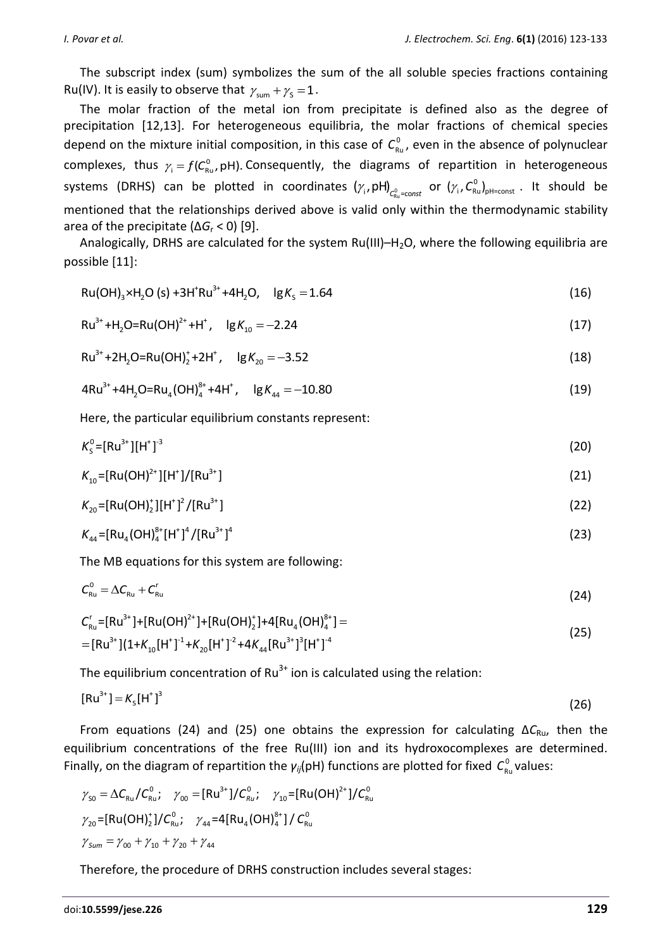The subscript index (sum) symbolizes the sum of the all soluble species fractions containing Ru(IV). It is easily to observe that  $\gamma_{\text{sum}} + \gamma_{\text{s}} = 1$ .

The molar fraction of the metal ion from precipitate is defined also as the degree of precipitation [12,13]. For heterogeneous equilibria, the molar fractions of chemical species depend on the mixture initial composition, in this case of  $C_{\text{\tiny Ru}}^0$ , even in the absence of polynuclear complexes, thus  $\gamma_i = f(C_{\rm Ru}^0, pH)$ . Consequently, the diagrams of repartition in heterogeneous systems (DRHS) can be plotted in coordinates  $(\gamma_i,$ pH) $_{C^0_{\rm Ru}={\rm const}}$  or  $(\gamma_i,$ C $_{\rm Ru}^0)_{\rm pH=const}$  . It should be mentioned that the relationships derived above is valid only within the thermodynamic stability area of the precipitate (∆*G*<sup>r</sup> < 0) [9].

Analogically, DRHS are calculated for the system  $Ru(III)-H<sub>2</sub>O$ , where the following equilibria are possible [11]:

Since 
$$
[11]
$$
.

\nRu(OH)<sub>3</sub>×H<sub>2</sub>O (s) +3H<sup>†</sup>Ru<sup>3+</sup>+4H<sub>2</sub>O,  $lg K_s = 1.64$ 

$$
Ru^{3+} + H_2O = Ru(OH)^{2+} + H^*
$$
,  $lg K_{10} = -2.24$  (17)

$$
Ru^{3+} + 2H_2O = Ru(OH)_2^+ + 2H^*,
$$
  $lg K_{20} = -3.52$  (18)

$$
4Ru^{3+} + 4H_2O = Ru_4(OH)_4^{8+} + 4H^*, \quad \text{lg } K_{44} = -10.80
$$
\n(19)

Here, the particular equilibrium constants represent:

$$
K_{\rm S}^0 = \left[{\rm Ru}^{3+}\right] \left[{\rm H}^+\right]^{-3} \tag{20}
$$

$$
K_{10} = [Ru(OH)^{2+}][H^+]/[Ru^{3+}]
$$
\n(21)

$$
K_{20} = [Ru(OH)_2^+][H^+]^2/[Ru^{3+}]
$$
\n(22)

$$
K_{44} = [Ru_{4}(OH)^{8+}_{4}[H^{+}]^{4}/[Ru^{3+}]^{4}
$$
 (23)

The MB equations for this system are following:

$$
C_{\rm Ru}^0 = \Delta C_{\rm Ru} + C_{\rm Ru}^{\rm r} \tag{24}
$$

$$
C_{\text{Ru}}^{\text{r}} = [\text{Ru}^{3+}] + [\text{Ru}(\text{OH})^{2+}] + [\text{Ru}(\text{OH})^{+}] + 4[\text{Ru}_{4}(\text{OH})^{8+}] =
$$
\n
$$
= [\text{Ru}^{3+}] (1 + K_{10}[\text{H}^{+}]^{1} + K_{20}[\text{H}^{+}]^{2} + 4K_{44}[\text{Ru}^{3+}]^{3}[\text{H}^{+}]^{4}
$$
\n(25)

The equilibrium concentration of  $Ru^{3+}$  ion is calculated using the relation:

$$
[\text{Ru}^{3+}] = K_{\text{s}}[\text{H}^+]^3 \tag{26}
$$

From equations (24) and (25) one obtains the expression for calculating Δ*C*Ru, then the equilibrium concentrations of the free Ru(III) ion and its hydroxocomplexes are determined. Finally, on the diagram of repartition the  $\gamma_{ij}$ (pH) functions are plotted for fixed  $C_{Ru}^0$  values:<br>  $\gamma_{so} = \Delta C_{Ru} / C_{Ru}^0; \quad \gamma_{oo} = [Ru^{3+}]/C_{Ru}^0; \quad \gamma_{10} = [Ru(OH)^{2+}]/C_{Ru}^0$ 

$$
\gamma_{\rm SO} = \Delta C_{\rm Ru} / C_{\rm Ru}^0; \quad \gamma_{\rm SO} = [\rm Ru^{3+}]/C_{\rm Ru}^0; \quad \gamma_{\rm 10} = [\rm Ru(OH)^{2+}]/C_{\rm Ru}^0
$$
  

$$
\gamma_{\rm 20} = [\rm Ru(OH)^+_2]/C_{\rm Ru}^0; \quad \gamma_{\rm 44} = 4[\rm Ru_{4}(OH)^{8+}_4]/C_{\rm Ru}^0
$$
  

$$
\gamma_{\rm sum} = \gamma_{\rm 00} + \gamma_{\rm 10} + \gamma_{\rm 20} + \gamma_{\rm 44}
$$

Therefore, the procedure of DRHS construction includes several stages: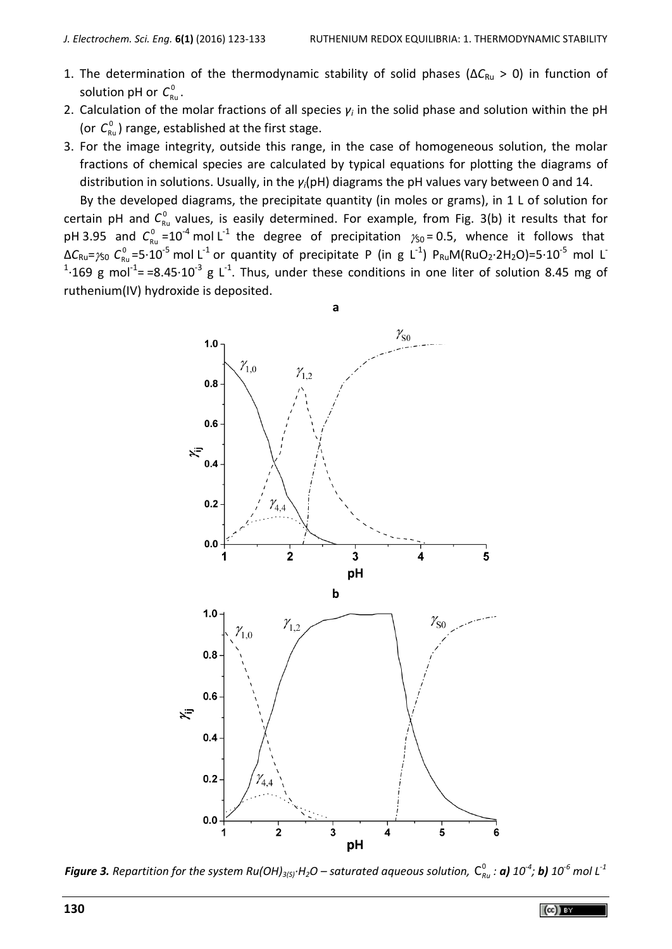- 1. The determination of the thermodynamic stability of solid phases (ΔC<sub>Ru</sub> > 0) in function of solution pH or  $C_{\textsf{\tiny Ru}}^{\textsf{\tiny{0}}}$  .
- 2. Calculation of the molar fractions of all species *γ<sup>i</sup>* in the solid phase and solution within the pH (or  $C_{\text{Ru}}^0$ ) range, established at the first stage.
- 3. For the image integrity, outside this range, in the case of homogeneous solution, the molar fractions of chemical species are calculated by typical equations for plotting the diagrams of distribution in solutions. Usually, in the *γi*(pH) diagrams the pH values vary between 0 and 14.

By the developed diagrams, the precipitate quantity (in moles or grams), in 1 L of solution for certain pH and C<sub>Ru</sub> values, is easily determined. For example, from Fig. 3(b) it results that for pH 3.95 and  $C_{\text{Ru}}^0$  =10<sup>-4</sup> mol L<sup>-1</sup> the degree of precipitation  $\gamma_{50}$  = 0.5, whence it follows that  $\Delta C_{\rm Ru}$ = $\gamma_{\rm SO}$   $C_{\rm Ru}^0$ =5·10<sup>-5</sup> mol L<sup>-1</sup> or quantity of precipitate P (in g L<sup>-1</sup>) P<sub>Ru</sub>M(RuO<sub>2</sub>·2H<sub>2</sub>O)=5·10<sup>-5</sup> mol L<sup>-</sup> <sup>1</sup>·169 g mol<sup>-1</sup>==8.45·10<sup>-3</sup> g L<sup>-1</sup>. Thus, under these conditions in one liter of solution 8.45 mg of ruthenium(IV) hydroxide is deposited.



**Figure 3.** Repartition for the system Ru(OH)<sub>3(S)</sub>·H<sub>2</sub>O – saturated aqueous solution,  $C_{Ru}^0$  : **a)** 10<sup>-4</sup>; **b)** 10<sup>-6</sup> mol L<sup>-1</sup>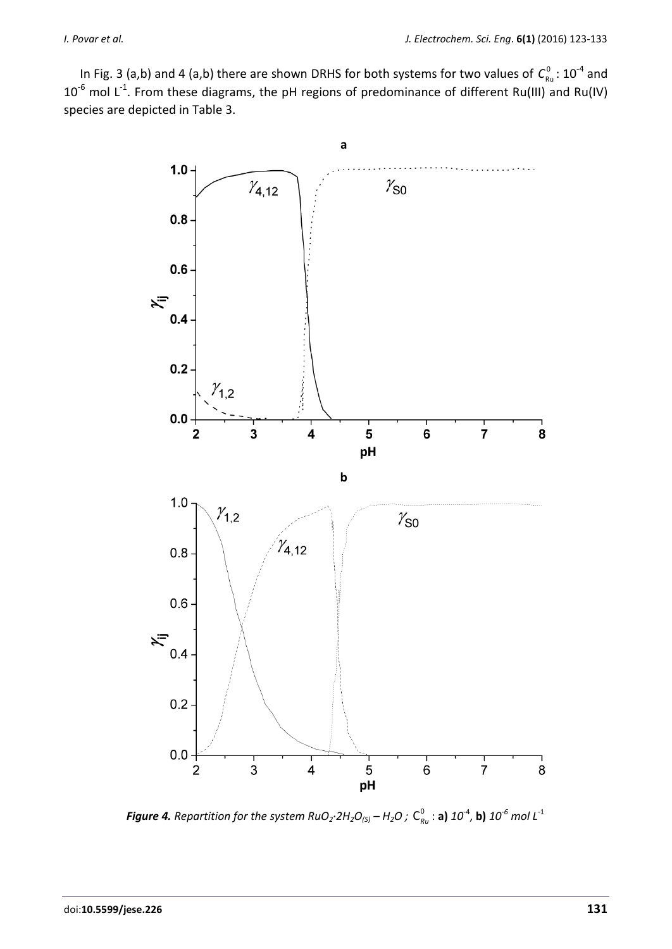In Fig. 3 (a,b) and 4 (a,b) there are shown DRHS for both systems for two values of  $C_{\text{\tiny Ru}}^0$ : 10<sup>-4</sup> and 10<sup>-6</sup> mol L<sup>-1</sup>. From these diagrams, the pH regions of predominance of different Ru(III) and Ru(IV) species are depicted in Table 3.



**Figure 4.** Repartition for the system RuO<sub>2</sub>·2H<sub>2</sub>O<sub>(S)</sub> – H<sub>2</sub>O ;  $C_{R\mu}^{0}$  : **a)** 10<sup>-4</sup>, **b)** 10<sup>-6</sup> mol L<sup>-1</sup>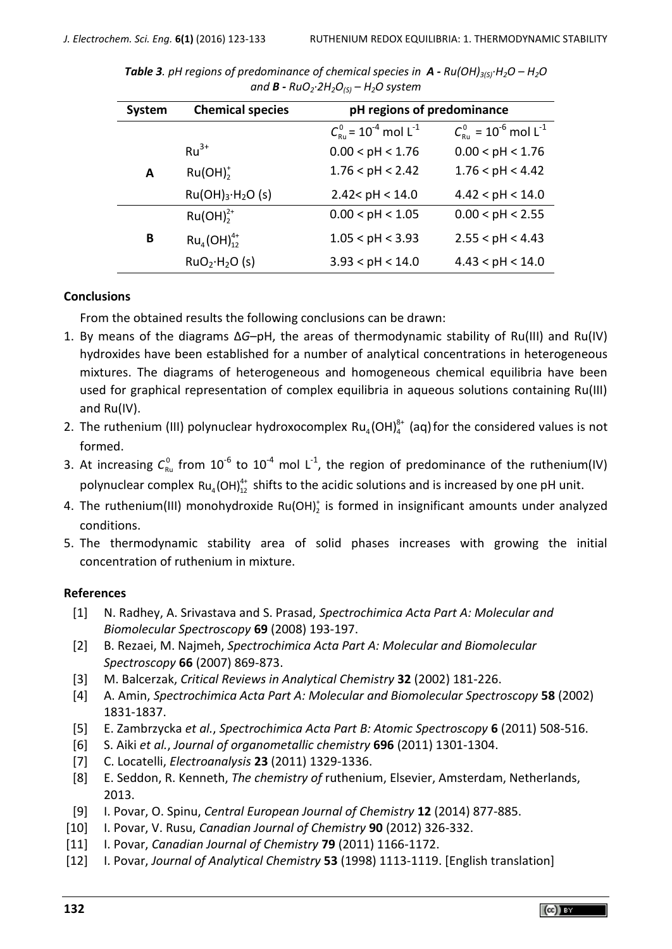| System | <b>Chemical species</b>                  | pH regions of predominance                                |                                                          |
|--------|------------------------------------------|-----------------------------------------------------------|----------------------------------------------------------|
|        |                                          | $C_{\text{out}}^0$ = 10 <sup>-4</sup> mol L <sup>-1</sup> | $C_{\text{Ru}}^0$ = 10 <sup>-6</sup> mol L <sup>-1</sup> |
|        | $Ru^{3+}$                                | 0.00 < pH < 1.76                                          | 0.00 < pH < 1.76                                         |
| A      | Ru(OH) <sub>2</sub>                      | 1.76 < pH < 2.42                                          | 1.76 < pH < 4.42                                         |
|        | Ru(OH) <sub>3</sub> ·H <sub>2</sub> O(s) | 2.42 < pH < 14.0                                          | 4.42 < pH < 14.0                                         |
|        | $Ru(OH)22+$                              | 0.00 < pH < 1.05                                          | 0.00 < pH < 2.55                                         |
| B      | $Ru_{4}(OH)_{12}^{4+}$                   | 1.05 < pH < 3.93                                          | 2.55 < pH < 4.43                                         |
|        | RuO <sub>2</sub> ·H <sub>2</sub> O(s)    | 3.93 < pH < 14.0                                          | 4.43 < pH < 14.0                                         |

*Table 3. pH regions of predominance of chemical species in A - Ru(OH)3(S)·H2O – H2O and B - RuO2·2H2O(S) – H2O system*

# **Conclusions**

From the obtained results the following conclusions can be drawn:

- 1. By means of the diagrams Δ*G*–pH, the areas of thermodynamic stability of Ru(III) and Ru(IV) hydroxides have been established for a number of analytical concentrations in heterogeneous mixtures. The diagrams of heterogeneous and homogeneous chemical equilibria have been used for graphical representation of complex equilibria in aqueous solutions containing Ru(III) and Ru(IV).
- 2. The ruthenium (III) polynuclear hydroxocomplex  $Ru_4(OH)_4^{8+}$  (aq) for the considered values is not formed.
- 3. At increasing  $C_{\text{Ru}}^0$  from  $10^{-6}$  to  $10^{-4}$  mol L<sup>-1</sup>, the region of predominance of the ruthenium(IV) polynuclear complex  $Ru_4(OH)_{12}^{4+}$  shifts to the acidic solutions and is increased by one pH unit.
- 4. The ruthenium(III) monohydroxide Ru(OH) $_2^*$  is formed in insignificant amounts under analyzed conditions.
- 5. The thermodynamic stability area of solid phases increases with growing the initial concentration of ruthenium in mixture.

# **References**

- [1] N. Radhey, A. Srivastava and S. Prasad, *Spectrochimica Acta Part A: Molecular and Biomolecular Spectroscopy* **69** (2008) 193-197.
- [2] B. Rezaei, M. Najmeh, *Spectrochimica Acta Part A: Molecular and Biomolecular Spectroscopy* **66** (2007) 869-873.
- [3] M. Balcerzak, *Critical Reviews in Analytical Chemistry* **32** (2002) 181-226.
- [4] A. Amin, *Spectrochimica Acta Part A: Molecular and Biomolecular Spectroscopy* **58** (2002) 1831-1837.
- [5] E. Zambrzycka *et al.*, *Spectrochimica Acta Part B: Atomic Spectroscopy* **6** (2011) 508-516.
- [6] S. Aiki *et al.*, *Journal of organometallic chemistry* **696** (2011) 1301-1304.
- [7] C. Locatelli, *Electroanalysis* **23** (2011) 1329-1336.
- [8] E. Seddon, R. Kenneth, *The chemistry of* ruthenium, Elsevier, Amsterdam, Netherlands, 2013.
- [9] I. Povar, O. Spinu, *Central European Journal of Chemistry* **12** (2014) 877-885.
- [10] I. Povar, V. Rusu, *Canadian Journal of Chemistry* **90** (2012) 326-332.
- [11] I. Povar, *Canadian Journal of Chemistry* **79** (2011) 1166-1172.
- [12] I. Povar, *Journal of Analytical Chemistry* **53** (1998) 1113-1119. [English translation]